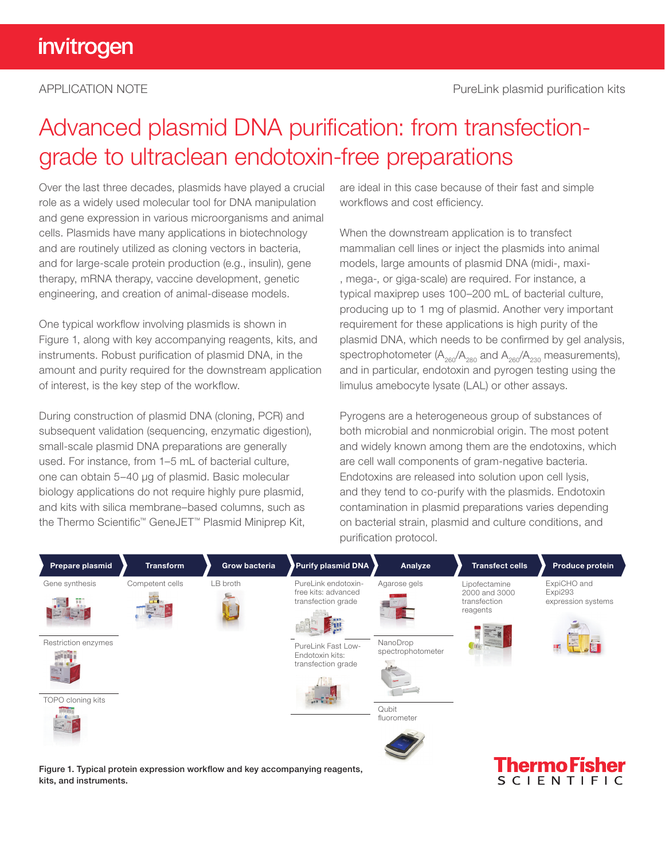## Advanced plasmid DNA purification: from transfectiongrade to ultraclean endotoxin-free preparations

Over the last three decades, plasmids have played a crucial role as a widely used molecular tool for DNA manipulation and gene expression in various microorganisms and animal cells. Plasmids have many applications in biotechnology and are routinely utilized as cloning vectors in bacteria, and for large-scale protein production (e.g., insulin), gene therapy, mRNA therapy, vaccine development, genetic engineering, and creation of animal-disease models.

One typical workflow involving plasmids is shown in Figure 1, along with key accompanying reagents, kits, and instruments. Robust purification of plasmid DNA, in the amount and purity required for the downstream application of interest, is the key step of the workflow.

During construction of plasmid DNA (cloning, PCR) and subsequent validation (sequencing, enzymatic digestion), small-scale plasmid DNA preparations are generally used. For instance, from 1–5 mL of bacterial culture, one can obtain 5–40 µg of plasmid. Basic molecular biology applications do not require highly pure plasmid, and kits with silica membrane–based columns, such as the Thermo Scientific<sup>™</sup> GeneJET<sup>™</sup> Plasmid Miniprep Kit,

are ideal in this case because of their fast and simple workflows and cost efficiency.

When the downstream application is to transfect mammalian cell lines or inject the plasmids into animal models, large amounts of plasmid DNA (midi-, maxi- , mega-, or giga-scale) are required. For instance, a typical maxiprep uses 100–200 mL of bacterial culture, producing up to 1 mg of plasmid. Another very important requirement for these applications is high purity of the plasmid DNA, which needs to be confirmed by gel analysis, spectrophotometer  $(A_{260}/A_{280})$  and  $A_{260}/A_{230}$  measurements), and in particular, endotoxin and pyrogen testing using the limulus amebocyte lysate (LAL) or other assays.

Pyrogens are a heterogeneous group of substances of both microbial and nonmicrobial origin. The most potent and widely known among them are the endotoxins, which are cell wall components of gram-negative bacteria. Endotoxins are released into solution upon cell lysis, and they tend to co-purify with the plasmids. Endotoxin contamination in plasmid preparations varies depending on bacterial strain, plasmid and culture conditions, and purification protocol.



Figure 1. Typical protein expression workflow and key accompanying reagents, kits, and instruments.

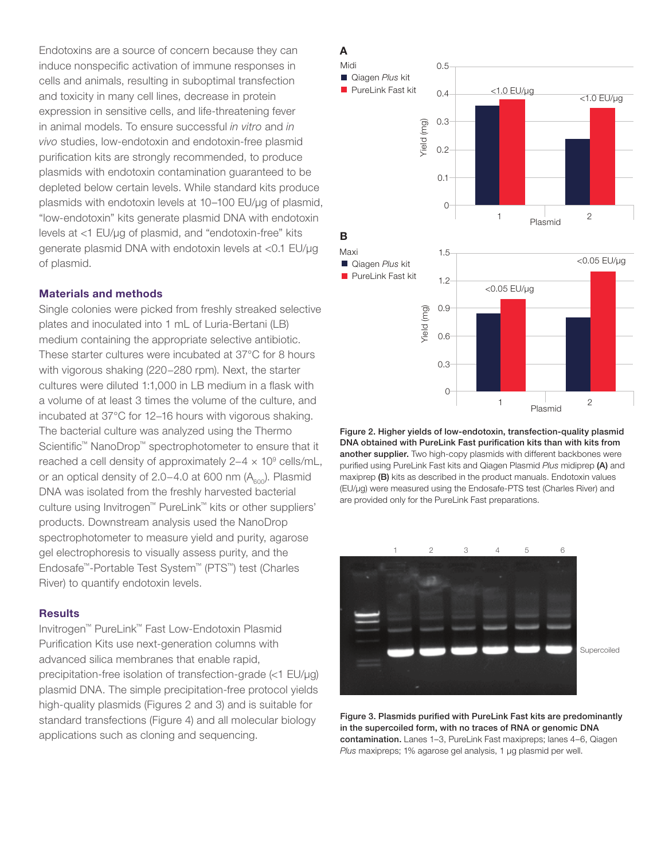Endotoxins are a source of concern because they can induce nonspecific activation of immune responses in cells and animals, resulting in suboptimal transfection and toxicity in many cell lines, decrease in protein expression in sensitive cells, and life-threatening fever in animal models. To ensure successful *in vitro* and *in vivo* studies, low-endotoxin and endotoxin-free plasmid purification kits are strongly recommended, to produce plasmids with endotoxin contamination guaranteed to be depleted below certain levels. While standard kits produce plasmids with endotoxin levels at 10–100 EU/µg of plasmid, "low-endotoxin" kits generate plasmid DNA with endotoxin levels at <1 EU/µg of plasmid, and "endotoxin-free" kits generate plasmid DNA with endotoxin levels at <0.1 EU/µg of plasmid.

#### Materials and methods

Single colonies were picked from freshly streaked selective plates and inoculated into 1 mL of Luria-Bertani (LB) medium containing the appropriate selective antibiotic. These starter cultures were incubated at 37°C for 8 hours with vigorous shaking (220−280 rpm). Next, the starter cultures were diluted 1:1,000 in LB medium in a flask with a volume of at least 3 times the volume of the culture, and incubated at 37°C for 12−16 hours with vigorous shaking. The bacterial culture was analyzed using the Thermo Scientific<sup>™</sup> NanoDrop™ spectrophotometer to ensure that it reached a cell density of approximately 2–4 × 10<sup>9</sup> cells/mL, or an optical density of 2.0−4.0 at 600 nm (A<sub>600</sub>). Plasmid DNA was isolated from the freshly harvested bacterial culture using Invitrogen™ PureLink™ kits or other suppliers' products. Downstream analysis used the NanoDrop spectrophotometer to measure yield and purity, agarose gel electrophoresis to visually assess purity, and the Endosafe™-Portable Test System™ (PTS™) test (Charles River) to quantify endotoxin levels.

#### **Results**

Invitrogen™ PureLink™ Fast Low-Endotoxin Plasmid Purification Kits use next-generation columns with advanced silica membranes that enable rapid, precipitation-free isolation of transfection-grade (<1 EU/µg) plasmid DNA. The simple precipitation-free protocol yields high-quality plasmids (Figures 2 and 3) and is suitable for standard transfections (Figure 4) and all molecular biology applications such as cloning and sequencing.

#### A



Figure 2. Higher yields of low-endotoxin, transfection-quality plasmid DNA obtained with PureLink Fast purification kits than with kits from another supplier. Two high-copy plasmids with different backbones were purified using PureLink Fast kits and Qiagen Plasmid Plus midiprep (A) and maxiprep (B) kits as described in the product manuals. Endotoxin values (EU/μg) were measured using the Endosafe-PTS test (Charles River) and are provided only for the PureLink Fast preparations.



Figure 3. Plasmids purified with PureLink Fast kits are predominantly in the supercoiled form, with no traces of RNA or genomic DNA contamination. Lanes 1–3, PureLink Fast maxipreps; lanes 4–6, Qiagen *Plus* maxipreps; 1% agarose gel analysis, 1 µg plasmid per well.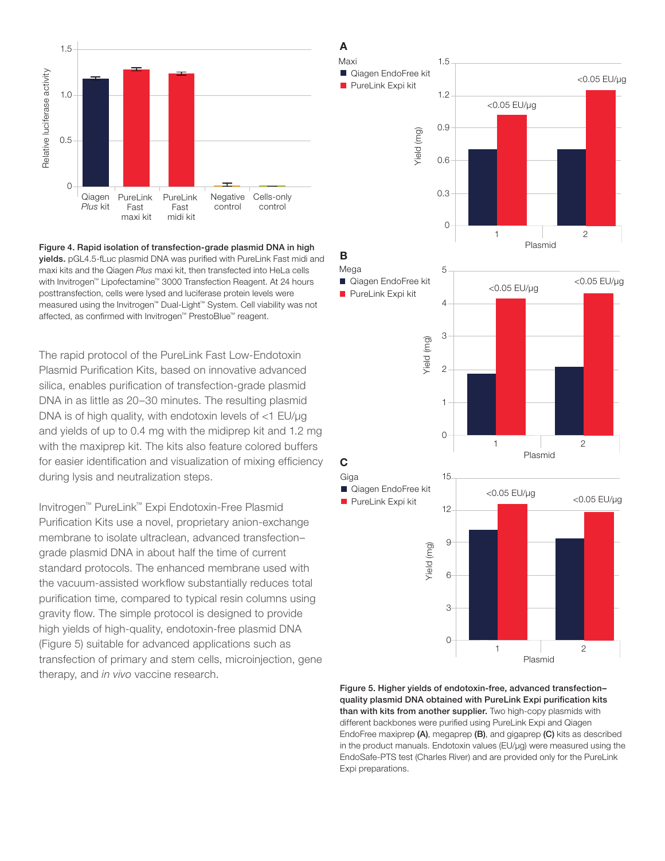

Figure 4. Rapid isolation of transfection-grade plasmid DNA in high yields. pGL4.5-fLuc plasmid DNA was purified with PureLink Fast midi and maxi kits and the Qiagen *Plus* maxi kit, then transfected into HeLa cells with Invitrogen™ Lipofectamine™ 3000 Transfection Reagent. At 24 hours posttransfection, cells were lysed and luciferase protein levels were measured using the Invitrogen™ Dual-Light™ System. Cell viability was not affected, as confirmed with Invitrogen™ PrestoBlue™ reagent.

The rapid protocol of the PureLink Fast Low-Endotoxin Plasmid Purification Kits, based on innovative advanced silica, enables purification of transfection-grade plasmid DNA in as little as 20–30 minutes. The resulting plasmid DNA is of high quality, with endotoxin levels of <1 EU/µg and yields of up to 0.4 mg with the midiprep kit and 1.2 mg with the maxiprep kit. The kits also feature colored buffers for easier identification and visualization of mixing efficiency during lysis and neutralization steps.

Invitrogen™ PureLink™ Expi Endotoxin-Free Plasmid Purification Kits use a novel, proprietary anion-exchange membrane to isolate ultraclean, advanced transfection– grade plasmid DNA in about half the time of current standard protocols. The enhanced membrane used with the vacuum-assisted workflow substantially reduces total purification time, compared to typical resin columns using gravity flow. The simple protocol is designed to provide high yields of high-quality, endotoxin-free plasmid DNA (Figure 5) suitable for advanced applications such as transfection of primary and stem cells, microinjection, gene therapy, and *in vivo* vaccine research.

#### A





Figure 5. Higher yields of endotoxin-free, advanced transfection– quality plasmid DNA obtained with PureLink Expi purification kits than with kits from another supplier. Two high-copy plasmids with different backbones were purified using PureLink Expi and Qiagen EndoFree maxiprep (A), megaprep (B), and gigaprep (C) kits as described in the product manuals. Endotoxin values (EU/μg) were measured using the EndoSafe-PTS test (Charles River) and are provided only for the PureLink Expi preparations.